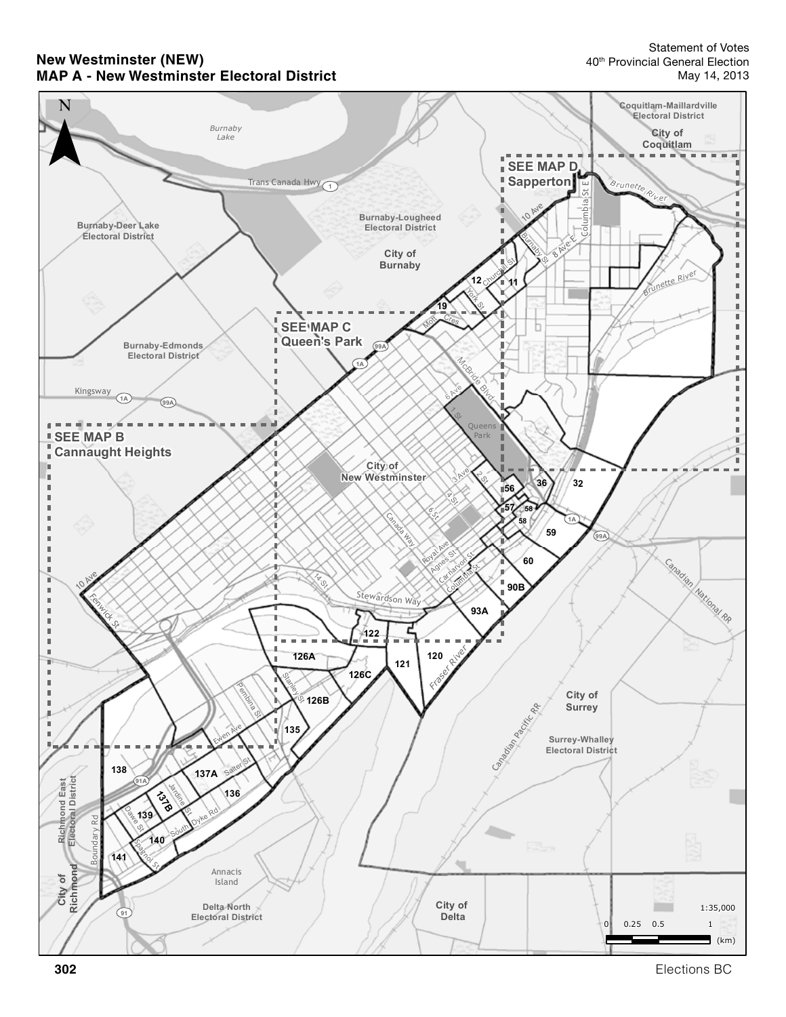#### **New Westminster (NEW) MAP A - New Westminster Electoral District**



**302** Elections BC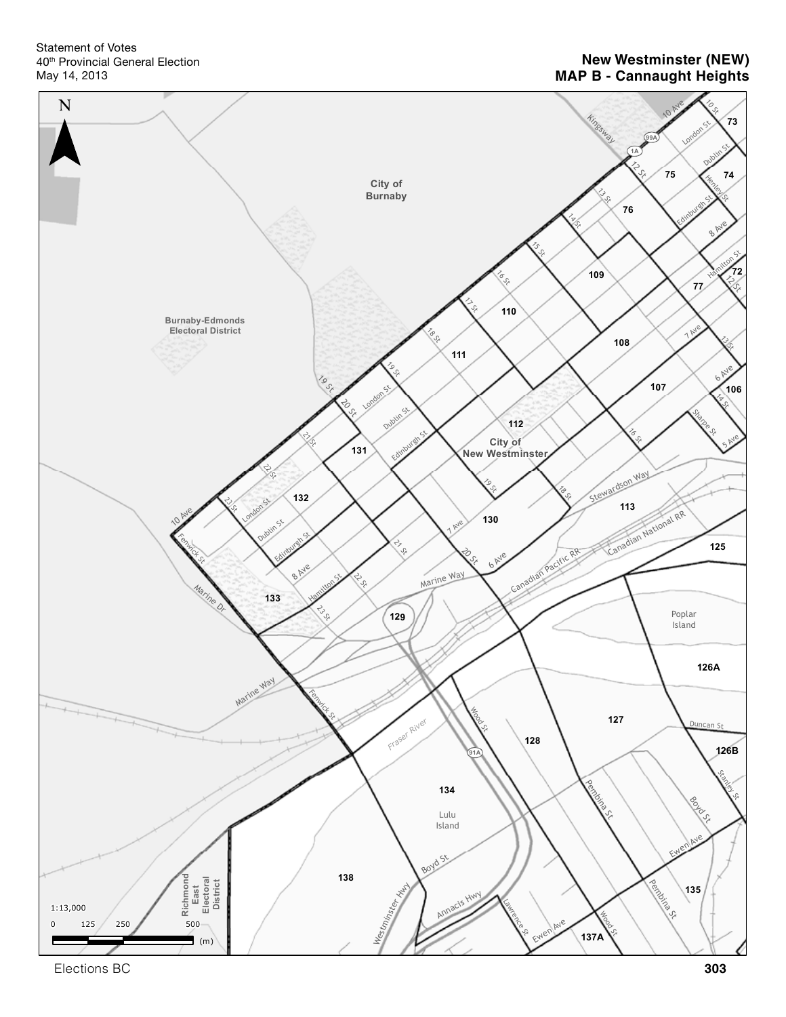Statement of Votes 40th Provincial General Election May 14, 2013

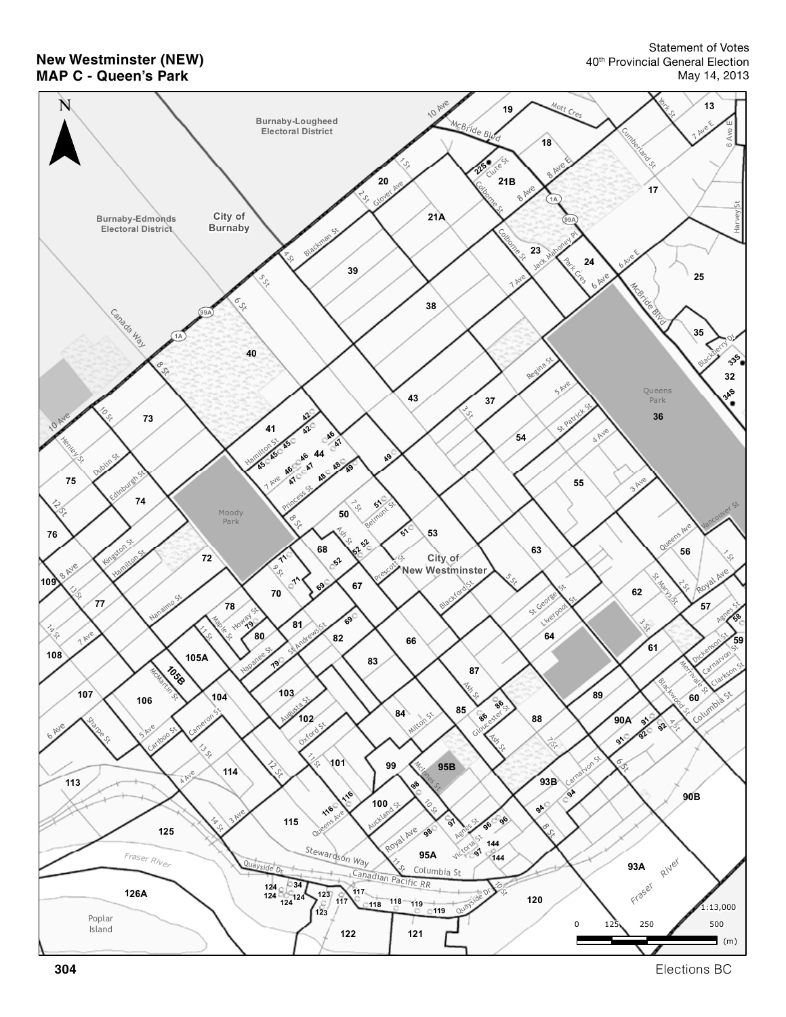**New Westminster (NEW) MAP C - Queen's Park**

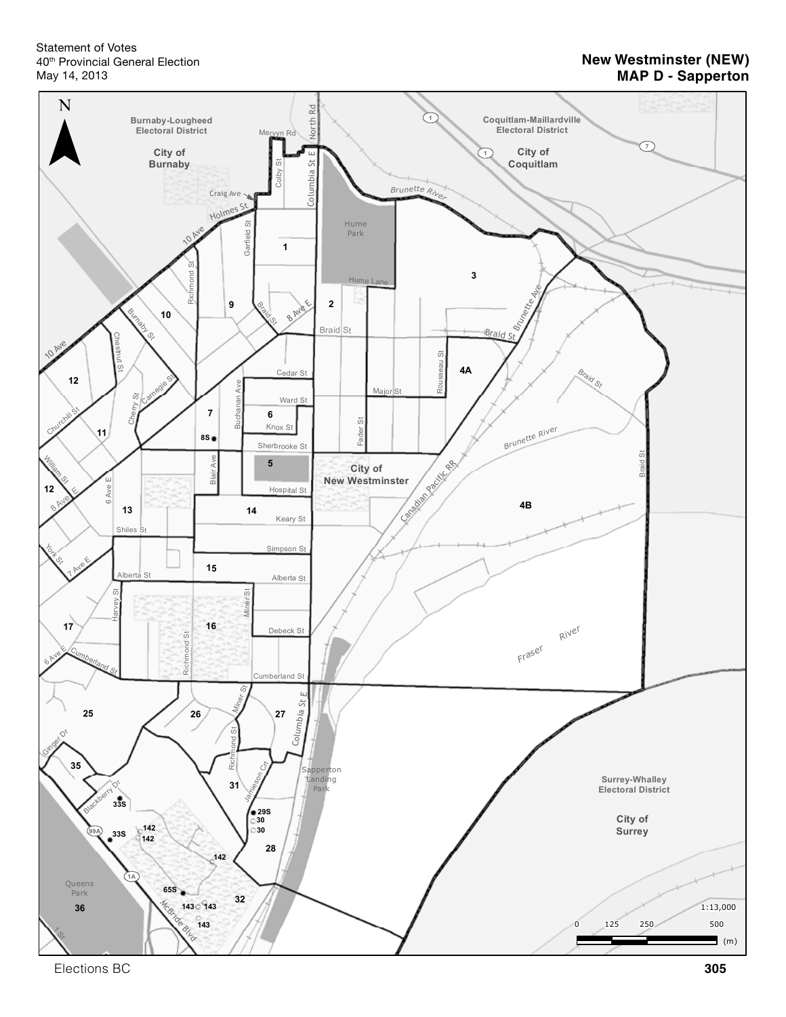Statement of Votes 40th Provincial General Election May 14, 2013

### **New Westminster (NEW) MAP D - Sapperton**



Elections BC **305**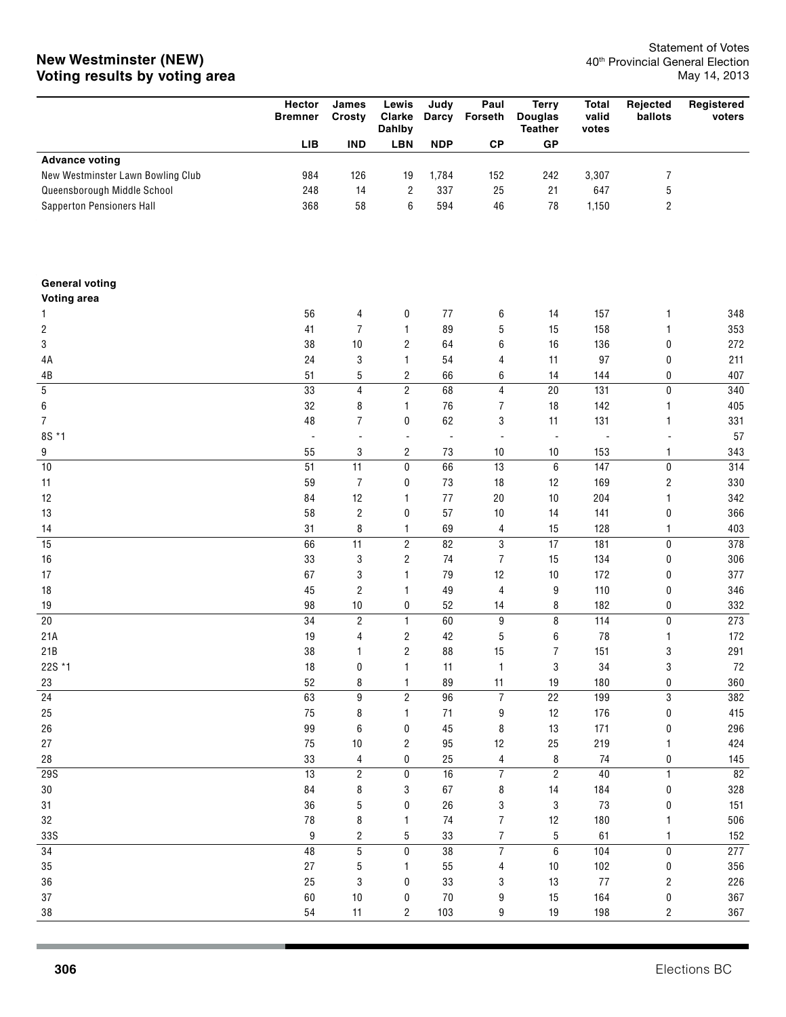|                                      | Hector<br><b>Bremner</b> | James<br>Crosty         | Lewis<br>Clarke<br><b>Dahlby</b> | Judy       | Paul<br>Darcy Forseth | <b>Terry</b><br><b>Douglas</b><br><b>Teather</b> | <b>Total</b><br>valid<br>votes | Rejected<br>ballots     | Registered<br>voters |
|--------------------------------------|--------------------------|-------------------------|----------------------------------|------------|-----------------------|--------------------------------------------------|--------------------------------|-------------------------|----------------------|
|                                      | LIB                      | <b>IND</b>              | LBN                              | <b>NDP</b> | $\mathsf{CP}$         | ${\sf GP}$                                       |                                |                         |                      |
| <b>Advance voting</b>                |                          |                         |                                  |            |                       |                                                  |                                |                         |                      |
| New Westminster Lawn Bowling Club    | 984                      | 126                     | 19                               | 1,784      | 152                   | 242                                              | 3,307                          | 7                       |                      |
| Queensborough Middle School          | 248                      | 14                      | $\overline{\mathbf{c}}$          | 337        | 25                    | 21                                               | 647                            | 5                       |                      |
| Sapperton Pensioners Hall            | 368                      | 58                      | 6                                | 594        | 46                    | 78                                               | 1,150                          | $\overline{\mathbf{c}}$ |                      |
|                                      |                          |                         |                                  |            |                       |                                                  |                                |                         |                      |
| <b>General voting</b><br>Voting area |                          |                         |                                  |            |                       |                                                  |                                |                         |                      |
| 1                                    | 56                       | 4                       | 0                                | 77         | 6                     | 14                                               | 157                            | 1                       | 348                  |
| 2                                    | 41                       | 7                       | 1                                | 89         | 5                     | 15                                               | 158                            | 1                       | 353                  |
| 3                                    | 38                       | $10$                    | $\overline{\mathbf{c}}$          | 64         | 6                     | $16$                                             | 136                            | 0                       | 272                  |
| 4A                                   | 24                       | 3                       | 1                                | 54         | 4                     | 11                                               | 97                             | 0                       | 211                  |
| $4\mathsf{B}$                        | 51                       | 5                       | 2                                | 66         | 6                     | 14                                               | 144                            | 0                       | 407                  |
| 5                                    | 33                       | $\overline{4}$          | $\overline{2}$                   | 68         | 4                     | $20\,$                                           | 131                            | 0                       | 340                  |
| 6                                    | 32                       | 8                       | 1                                | 76         | 7                     | $18$                                             | 142                            | 1                       | 405                  |
| 7                                    | 48                       | 7                       | 0                                | 62         | 3                     | 11                                               | 131                            | 1                       | 331                  |
| 8S *1                                | $\overline{a}$           |                         | $\overline{a}$                   | ÷,         | ÷,                    | $\blacksquare$                                   |                                |                         | 57                   |
| 9                                    | 55                       | 3                       | $\overline{\mathbf{c}}$          | 73         | $10$                  | $10$                                             | 153                            | 1                       | 343                  |
| 10                                   | 51                       | 11                      | 0                                | 66         | 13                    | $\,6\,$                                          | 147                            | 0                       | 314                  |
| 11                                   | 59                       | 7                       | 0                                | 73         | 18                    | 12                                               | 169                            | $\overline{\mathbf{c}}$ | 330                  |
| 12                                   | 84                       | 12                      | 1                                | 77         | $20\,$                | 10                                               | 204                            | 1                       | 342                  |
| 13                                   | 58                       | $\overline{\mathbf{c}}$ | 0                                | 57         | $10$                  | 14                                               | 141                            | 0                       | 366                  |
| 14                                   | 31                       | 8                       | 1                                | 69         | 4                     | 15                                               | 128                            | 1                       | 403                  |
| 15                                   | 66                       | 11                      | $\overline{c}$                   | 82         | 3                     | 17                                               | 181                            | 0                       | 378                  |
| $16\,$                               | 33                       | 3                       | 2                                | 74         | 7                     | 15                                               | 134                            | 0                       | 306                  |
| 17                                   | 67                       | 3                       | 1                                | 79         | 12                    | 10                                               | 172                            | 0                       | 377                  |
| 18                                   | 45                       | $\overline{\mathbf{c}}$ | 1                                | 49         | 4                     | 9                                                | 110                            | 0                       | 346                  |
| 19                                   | 98                       | $10$                    | 0                                | 52         | 14                    | 8                                                | 182                            | 0                       | 332                  |
| $20\,$                               | 34                       | $\sqrt{2}$              | $\mathbf{1}$                     | 60         | 9                     | 8                                                | 114                            | 0                       | 273                  |
| 21A<br>21B                           | 19<br>38                 | 4<br>1                  | 2<br>$\overline{c}$              | 42<br>88   | 5<br>15               | 6<br>7                                           | 78<br>151                      | 1                       | 172<br>291           |
| 22S *1                               | 18                       | 0                       | 1                                | 11         | 1                     | 3                                                | 34                             | 3<br>3                  | 72                   |
| 23                                   | 52                       | 8                       | 1                                | 89         | 11                    | 19                                               | 180                            | 0                       | 360                  |
| 24                                   | 63                       | 9                       | $\overline{c}$                   | 96         | $\boldsymbol{7}$      | 22                                               | 199                            | 3                       | 382                  |
| 25                                   | 75                       | 8                       | 1                                | $71$       | 9                     | 12                                               | 176                            | 0                       | 415                  |
| 26                                   | 99                       | 6                       | 0                                | 45         | 8                     | 13                                               | 171                            | 0                       | 296                  |
| 27                                   | 75                       | $10$                    | 2                                | 95         | 12                    | 25                                               | 219                            | 1                       | 424                  |
| 28                                   | 33                       | 4                       | 0                                | 25         | 4                     | 8                                                | 74                             | 0                       | 145                  |
| <b>29S</b>                           | 13                       | $\overline{c}$          | 0                                | 16         | $\overline{7}$        | $\overline{2}$                                   | 40                             | 1                       | 82                   |
| $30\,$                               | 84                       | 8                       | 3                                | 67         | 8                     | 14                                               | 184                            | 0                       | 328                  |
| 31                                   | 36                       | 5                       | 0                                | 26         | 3                     | $\sqrt{3}$                                       | 73                             | 0                       | 151                  |
| 32                                   | 78                       | 8                       | 1                                | 74         | 7                     | 12                                               | 180                            |                         | 506                  |
| 33S                                  | 9                        | $\overline{\mathbf{c}}$ | 5                                | 33         | $\overline{7}$        | $\mathbf 5$                                      | 61                             | 1                       | 152                  |
| 34                                   | $48$                     | $\mathbf 5$             | 0                                | 38         | $\overline{7}$        | $\,6\,$                                          | 104                            | 0                       | 277                  |
| $35\,$                               | 27                       | 5                       | 1.                               | 55         | 4                     | 10                                               | 102                            | 0                       | 356                  |
| 36                                   | 25                       | 3                       | 0                                | 33         | 3                     | 13                                               | $77$                           | 2                       | 226                  |
| $37\,$                               | 60                       | $10$                    | 0                                | $70$       | 9                     | 15                                               | 164                            | 0                       | 367                  |
| 38                                   | 54                       | 11                      | 2                                | 103        | 9                     | $19$                                             | 198                            | $\overline{\mathbf{c}}$ | 367                  |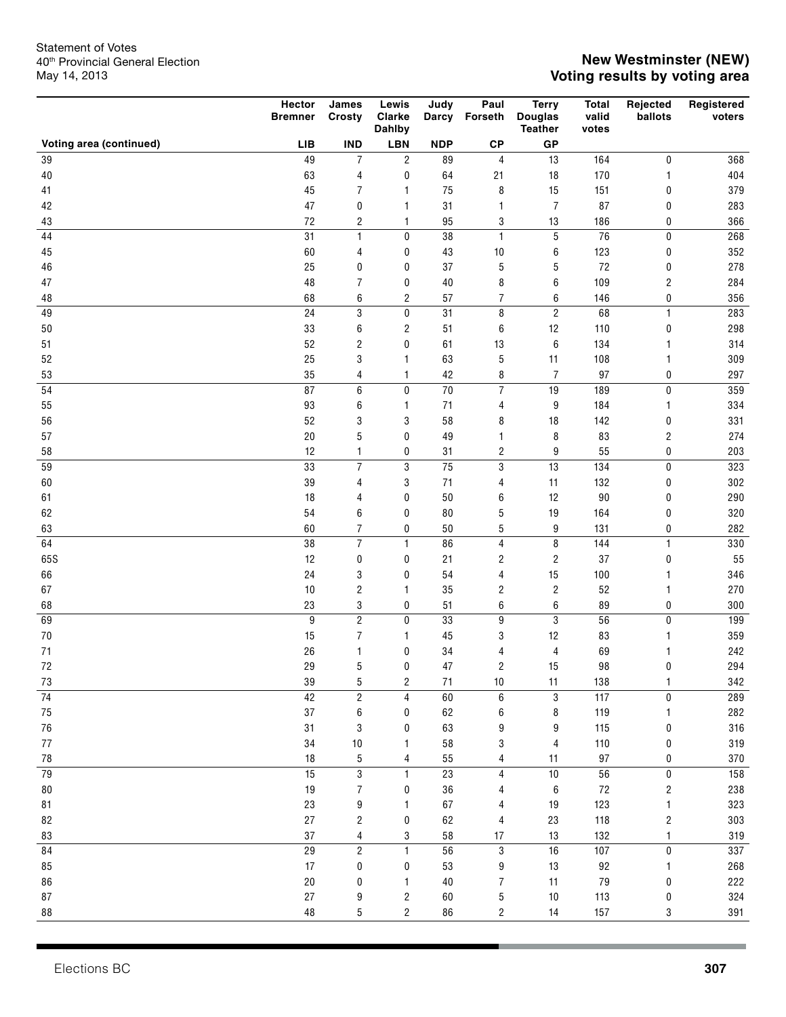|                         | Hector<br><b>Bremner</b> | James<br>Crosty         | Lewis<br><b>Clarke</b><br>Dahlby | Judy            | Paul<br>Darcy Forseth        | <b>Terry</b><br><b>Douglas</b><br><b>Teather</b> | <b>Total</b><br>valid<br>votes | Rejected<br>ballots     | Registered<br>voters |
|-------------------------|--------------------------|-------------------------|----------------------------------|-----------------|------------------------------|--------------------------------------------------|--------------------------------|-------------------------|----------------------|
| Voting area (continued) | LIB                      | <b>IND</b>              | <b>LBN</b>                       | <b>NDP</b>      | ${\bf CP}$                   | GP                                               |                                |                         |                      |
| 39                      | 49                       | $\overline{7}$          | $\overline{2}$                   | 89              | $\overline{4}$               | 13                                               | 164                            | $\pmb{0}$               | 368                  |
| $40\,$                  | 63                       | 4                       | $\pmb{0}$                        | 64              | 21                           | $18$                                             | 170                            | $\mathbf{1}$            | 404                  |
| 41                      | 45                       | $\overline{7}$          | $\mathbf{1}$                     | 75              | 8                            | 15                                               | 151                            | 0                       | 379                  |
| 42                      | 47                       | 0                       | 1                                | 31              | 1                            | $\boldsymbol{7}$                                 | 87                             | $\pmb{0}$               | 283                  |
| 43                      | $72\,$                   | 2                       | $\mathbf{1}$                     | 95              | 3                            | 13                                               | 186                            | 0                       | 366                  |
| 44                      | 31                       | $\mathbf{1}$            | 0                                | 38              | $\mathbf{1}$                 | 5                                                | 76                             | $\pmb{0}$               | 268                  |
| 45                      | 60                       | 4                       | 0                                | 43              | $10$                         | 6                                                | 123                            | 0                       | 352                  |
| 46                      | 25                       | $\bf{0}$                | 0                                | 37              | $\sqrt{5}$                   | 5                                                | 72                             | 0                       | 278                  |
| 47                      | 48                       | 7                       | 0                                | $40\,$          | 8                            | 6                                                | 109                            | $\sqrt{2}$              | 284                  |
| 48                      | 68                       | 6                       | $\overline{c}$                   | 57              | $\overline{7}$               | 6                                                | 146                            | 0                       | 356                  |
| 49                      | 24                       | 3                       | 0                                | 31              | 8                            | $\overline{c}$                                   | 68                             | $\mathbf{1}$            | 283                  |
| 50                      | 33                       | 6                       | $\overline{c}$                   | 51              | 6                            | 12                                               | 110                            | 0                       | 298                  |
| 51                      | 52                       | 2                       | $\mathbf{0}$                     | 61              | 13                           | 6                                                | 134                            | 1                       | 314                  |
| 52                      | 25                       | 3                       | $\mathbf{1}$                     | 63              | $\mathbf 5$                  | 11                                               | 108                            | 1                       | 309                  |
| 53                      | 35                       | 4                       | $\mathbf{1}$                     | 42              | 8                            | $\overline{7}$                                   | 97                             | $\pmb{0}$               | 297                  |
| 54                      | 87                       | 6                       | $\mathbf 0$                      | $\overline{70}$ | $\overline{7}$               | 19                                               | 189                            | $\pmb{0}$               | 359                  |
| 55                      | 93                       | 6                       | $\mathbf{1}$                     | 71              | 4                            | 9                                                | 184                            | 1                       | 334                  |
| 56                      | 52                       | 3                       | 3                                | 58              | 8                            | 18                                               | 142                            | 0                       | 331                  |
| 57                      | 20<br>12                 | 5                       | 0                                | 49              | 1                            | 8                                                | 83<br>55                       | $\overline{c}$          | 274<br>203           |
| 58<br>59                | 33                       | 1<br>$\overline{7}$     | $\bf{0}$<br>3                    | 31<br>75        | $\overline{\mathbf{c}}$<br>3 | 9<br>13                                          | 134                            | 0<br>$\pmb{0}$          | 323                  |
| 60                      | 39                       | 4                       | 3                                | 71              | 4                            | 11                                               | 132                            | 0                       | 302                  |
| 61                      | 18                       | 4                       | 0                                | 50              | 6                            | 12                                               | $90\,$                         | $\bf{0}$                | 290                  |
| 62                      | 54                       | 6                       | 0                                | 80              | 5                            | 19                                               | 164                            | $\bf{0}$                | 320                  |
| 63                      | 60                       | $\overline{7}$          | 0                                | 50              | 5                            | 9                                                | 131                            | 0                       | 282                  |
| 64                      | 38                       | $\overline{7}$          | $\mathbf{1}$                     | 86              | $\overline{4}$               | 8                                                | 144                            | $\mathbf{1}$            | 330                  |
| 65S                     | 12                       | 0                       | 0                                | 21              | 2                            | $\overline{\mathbf{c}}$                          | 37                             | 0                       | 55                   |
| 66                      | 24                       | 3                       | 0                                | 54              | 4                            | 15                                               | 100                            | 1                       | 346                  |
| 67                      | $10$                     | 2                       | $\mathbf{1}$                     | 35              | 2                            | $\overline{\mathbf{c}}$                          | 52                             | 1                       | 270                  |
| 68                      | 23                       | 3                       | 0                                | 51              | 6                            | 6                                                | 89                             | $\pmb{0}$               | 300                  |
| 69                      | 9                        | $\overline{2}$          | $\mathbf 0$                      | 33              | 9                            | 3                                                | 56                             | $\pmb{0}$               | 199                  |
| $70\,$                  | 15                       | 7                       | $\mathbf{1}$                     | 45              | 3                            | 12                                               | 83                             | 1                       | 359                  |
| 71                      | 26                       | 1                       | 0                                | 34              | 4                            | 4                                                | 69                             |                         | 242                  |
| 72                      | 29                       | 5                       | $\mathbf{0}$                     | 47              | $\overline{2}$               | 15                                               | 98                             | $\mathbf{0}$            | 294                  |
| 73                      | 39                       | 5                       | 2                                | 71              | 10                           | 11                                               | 138                            | 1                       | 342                  |
| $\overline{74}$         | 42                       | $\overline{\mathbf{c}}$ | $\overline{4}$                   | 60              | 6                            | 3                                                | 117                            | 0                       | 289                  |
| 75                      | $37\,$                   | 6                       | 0                                | 62              | 6                            | 8                                                | 119                            | 1                       | 282                  |
| 76                      | 31                       | 3                       | 0                                | 63              | 9                            | 9                                                | 115                            | 0                       | 316                  |
| 77                      | $34\,$                   | $10\,$                  | 1                                | 58              | 3                            | 4                                                | 110                            | 0                       | 319                  |
| 78                      | 18                       | $\mathbf 5$             | 4                                | 55              | 4                            | 11                                               | 97                             | 0                       | 370                  |
| 79                      | 15                       | 3                       | $\mathbf{1}$                     | 23              | $\overline{4}$               | $10\,$                                           | 56                             | $\pmb{0}$               | 158                  |
| 80                      | 19                       | $\overline{7}$          | 0                                | $36\,$          | 4                            | 6                                                | $72\,$                         | $\overline{\mathbf{c}}$ | 238                  |
| 81                      | 23                       | 9                       | 1                                | 67              | 4                            | 19                                               | 123                            | 1                       | 323                  |
| 82                      | 27                       | 2                       | 0                                | 62              | 4                            | 23                                               | 118                            | $\overline{\mathbf{c}}$ | 303                  |
| 83                      | $37\,$                   | 4                       | 3                                | 58              | 17                           | 13                                               | 132                            | 1                       | 319                  |
| 84                      | 29                       | $\overline{c}$          | $\mathbf{1}$                     | 56              | $\sqrt{3}$                   | 16                                               | 107                            | $\pmb{0}$               | 337                  |
| 85                      | 17                       | 0                       | 0                                | 53              | 9                            | 13                                               | 92                             | 1                       | 268                  |
| $86\,$                  | $20\,$                   | 0                       | 1                                | $40\,$          | 7                            | 11                                               | 79                             | 0                       | 222                  |
| $87\,$                  | 27                       | 9                       | 2                                | 60              | 5                            | $10$                                             | 113                            | 0                       | 324                  |
| 88                      | $48\,$                   | 5                       | 2                                | 86              | $\overline{c}$               | 14                                               | 157                            | 3                       | 391                  |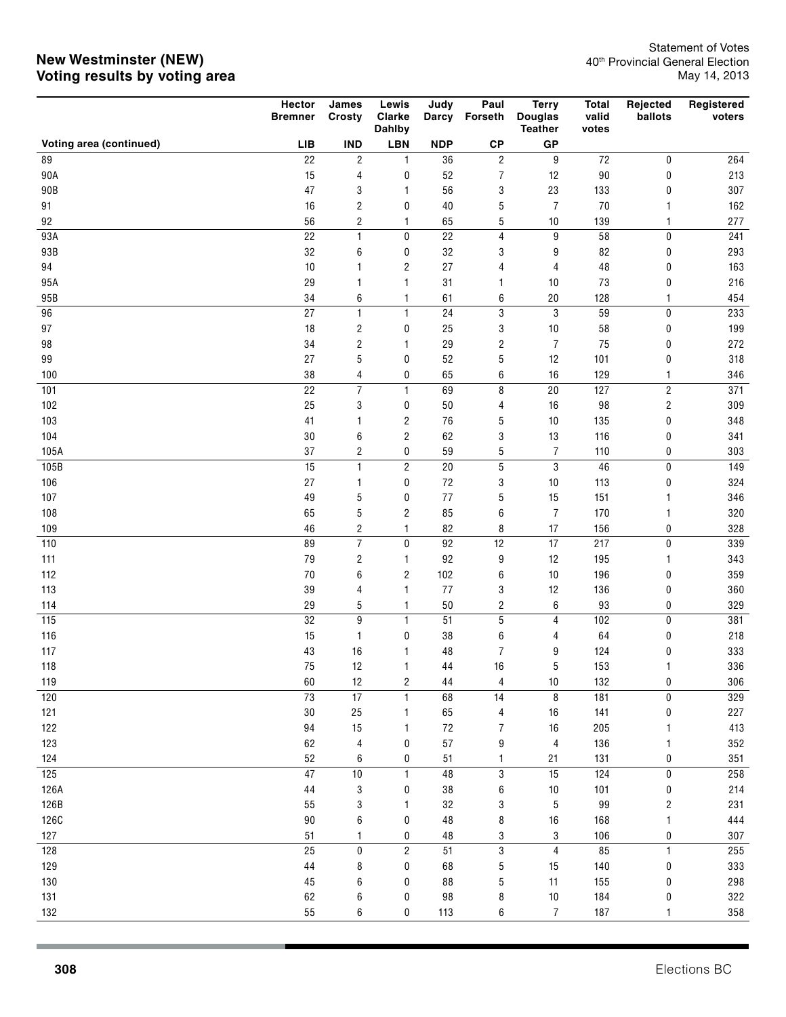|                         | Hector<br><b>Bremner</b> | James<br>Crosty                           | Lewis<br>Clarke<br>Dahlby | Judy       | Paul<br>Darcy Forseth     | <b>Terry</b><br><b>Douglas</b><br><b>Teather</b> | <b>Total</b><br>valid<br>votes | Rejected<br>ballots    | Registered<br>voters |
|-------------------------|--------------------------|-------------------------------------------|---------------------------|------------|---------------------------|--------------------------------------------------|--------------------------------|------------------------|----------------------|
| Voting area (continued) | <b>LIB</b>               | <b>IND</b>                                | <b>LBN</b>                | <b>NDP</b> | ${\bf CP}$                | GP                                               |                                |                        |                      |
| 89                      | 22                       | $\overline{c}$                            | $\mathbf{1}$              | 36         | $\overline{\mathbf{c}}$   | 9                                                | $72\,$                         | 0                      | 264                  |
| 90A                     | 15                       | $\overline{4}$                            | $\bf{0}$                  | 52         | $\boldsymbol{7}$          | 12                                               | $90\,$                         | 0                      | 213                  |
| 90B                     | 47                       | 3                                         | 1                         | 56         | 3                         | 23                                               | 133                            | 0                      | 307                  |
| 91                      | 16                       | $\overline{\mathbf{c}}$                   | 0                         | $40\,$     | 5                         | $\overline{7}$                                   | $70\,$                         | 1                      | 162                  |
| 92                      | 56                       | $\overline{\mathbf{c}}$                   | $\mathbf{1}$              | 65         | 5                         | 10                                               | 139                            | 1                      | 277                  |
| 93A                     | 22                       | $\mathbf{1}$                              | 0                         | 22         | 4                         | 9                                                | 58                             | 0                      | 241                  |
| 93B                     | 32                       | 6                                         | 0                         | 32         | 3                         | 9                                                | 82                             | 0                      | 293                  |
| 94                      | $10\,$                   | 1                                         | 2                         | 27         | 4                         | 4                                                | 48                             | 0                      | 163                  |
| 95A                     | 29                       | 1                                         | $\mathbf{1}$              | 31         | 1                         | $10$                                             | 73                             | 0                      | 216                  |
| 95B                     | 34                       | 6                                         | $\mathbf{1}$              | 61         | 6                         | 20                                               | 128                            | $\mathbf{1}$           | 454                  |
| 96                      | 27                       | $\mathbf{1}$                              | $\mathbf{1}$              | 24         | $\ensuremath{\mathsf{3}}$ | 3                                                | 59                             | 0                      | 233                  |
| 97                      | $18$                     | $\overline{\mathbf{c}}$                   | 0                         | 25         | 3                         | $10$                                             | 58                             | 0                      | 199                  |
| 98                      | 34                       | $\overline{\mathbf{c}}$                   | 1                         | 29         | $\sqrt{2}$                | $\boldsymbol{7}$                                 | 75                             | 0                      | 272                  |
| 99                      | 27                       | 5                                         | 0                         | 52         | $\sqrt{5}$                | 12                                               | 101                            | 0                      | 318                  |
| 100                     | 38                       | 4                                         | 0                         | 65         | 6                         | 16                                               | 129                            | $\mathbf{1}$           | 346                  |
| 101                     | 22                       | $\overline{7}$                            | $\mathbf{1}$              | 69         | 8                         | 20                                               | 127                            | $\overline{2}$         | $\overline{371}$     |
| 102                     | 25                       | 3                                         | $\bf{0}$                  | 50         | 4                         | 16                                               | 98                             | $\sqrt{2}$             | 309                  |
| 103                     | 41                       | 1                                         | $\overline{\mathbf{c}}$   | 76         | 5                         | 10                                               | 135                            | $\pmb{0}$              | 348                  |
| 104                     | 30                       | 6                                         | $\overline{\mathbf{c}}$   | 62         | 3                         | 13                                               | 116                            | $\pmb{0}$              | 341                  |
| 105A                    | 37                       | $\overline{\mathbf{c}}$                   | 0                         | 59         | $\mathbf 5$               | $\overline{7}$                                   | 110                            | $\pmb{0}$              | 303                  |
| 105B                    | 15                       | $\mathbf{1}$                              | $\overline{2}$            | 20         | 5                         | 3                                                | $46\,$                         | $\pmb{0}$              | $\overline{149}$     |
| 106                     | 27                       | 1                                         | 0                         | 72         | 3                         | $10$                                             | 113                            | $\pmb{0}$              | 324                  |
| 107                     | 49                       | 5                                         | 0                         | 77         | 5                         | 15                                               | 151                            | 1                      | 346                  |
| 108                     | 65                       | 5                                         | $\overline{2}$            | 85         | 6                         | $\overline{7}$                                   | 170                            | $\mathbf{1}$           | 320                  |
| 109<br>110              | 46<br>89                 | $\overline{\mathbf{c}}$<br>$\overline{7}$ | $\mathbf{1}$<br>0         | 82<br>92   | 8<br>12                   | 17<br>17                                         | 156<br>217                     | $\pmb{0}$<br>$\pmb{0}$ | 328<br>339           |
| 111                     | 79                       | 2                                         | 1                         | 92         | 9                         | 12                                               | 195                            | $\mathbf{1}$           | 343                  |
| 112                     | 70                       | 6                                         | $\overline{2}$            | 102        | 6                         | $10$                                             | 196                            | $\bf{0}$               | 359                  |
| 113                     | 39                       | 4                                         | $\mathbf{1}$              | 77         | 3                         | 12                                               | 136                            | $\pmb{0}$              | 360                  |
| 114                     | 29                       | 5                                         | $\mathbf{1}$              | $50\,$     | $\overline{\mathbf{c}}$   | 6                                                | 93                             | 0                      | 329                  |
| 115                     | 32                       | 9                                         | $\mathbf{1}$              | 51         | 5                         | 4                                                | 102                            | $\pmb{0}$              | 381                  |
| 116                     | 15                       | 1                                         | 0                         | 38         | 6                         | 4                                                | 64                             | $\pmb{0}$              | 218                  |
| 117                     | 43                       | 16                                        | 1                         | 48         | $\overline{7}$            | 9                                                | 124                            | 0                      | 333                  |
| 118                     | $75\,$                   | 12                                        | 1                         | $\bf 44$   | $16$                      | 5                                                | 153                            | 1                      | 336                  |
| 119                     | 60                       | 12                                        | 2                         | 44         | 4                         | $10$                                             | 132                            | 0                      | 306                  |
| 120                     | $73\,$                   | 17                                        | $\mathbf{1}$              | 68         | 14                        | 8                                                | 181                            | $\pmb{0}$              | 329                  |
| 121                     | $30\,$                   | 25                                        | 1                         | 65         | 4                         | 16                                               | 141                            | 0                      | 227                  |
| 122                     | 94                       | 15                                        | $\mathbf{1}$              | $72\,$     | 7                         | 16                                               | 205                            |                        | 413                  |
| 123                     | 62                       | 4                                         | 0                         | 57         | 9                         | $\overline{4}$                                   | 136                            |                        | 352                  |
| 124                     | 52                       | 6                                         | 0                         | 51         | 1                         | 21                                               | 131                            | 0                      | 351                  |
| 125                     | 47                       | 10                                        | $\mathbf{1}$              | 48         | $\mathbf 3$               | 15                                               | 124                            | $\pmb{0}$              | 258                  |
| 126A                    | $44\,$                   | 3                                         | 0                         | 38         | 6                         | $10$                                             | 101                            | $\pmb{0}$              | 214                  |
| 126B                    | 55                       | 3                                         | 1                         | 32         | 3                         | $\mathbf 5$                                      | 99                             | $\sqrt{2}$             | 231                  |
| <b>126C</b>             | $90\,$                   | 6                                         | 0                         | 48         | 8                         | $16\,$                                           | 168                            |                        | 444                  |
| 127                     | 51                       | 1                                         | 0                         | 48         | 3                         | 3                                                | 106                            | 0                      | 307                  |
| 128                     | 25                       | $\pmb{0}$                                 | $\overline{c}$            | 51         | $\mathbf 3$               | $\overline{4}$                                   | 85                             | $\mathbf{1}$           | 255                  |
| 129                     | $\bf 44$                 | 8                                         | 0                         | 68         | 5                         | 15                                               | 140                            | 0                      | 333                  |
| 130                     | $\sqrt{45}$              | 6                                         | 0                         | 88         | 5                         | 11                                               | 155                            | 0                      | 298                  |
| 131                     | 62                       | 6                                         | 0                         | 98         | 8                         | $10$                                             | 184                            | 0                      | 322                  |
| 132                     | 55                       | 6                                         | 0                         | 113        | 6                         | $\boldsymbol{7}$                                 | 187                            | 1                      | 358                  |